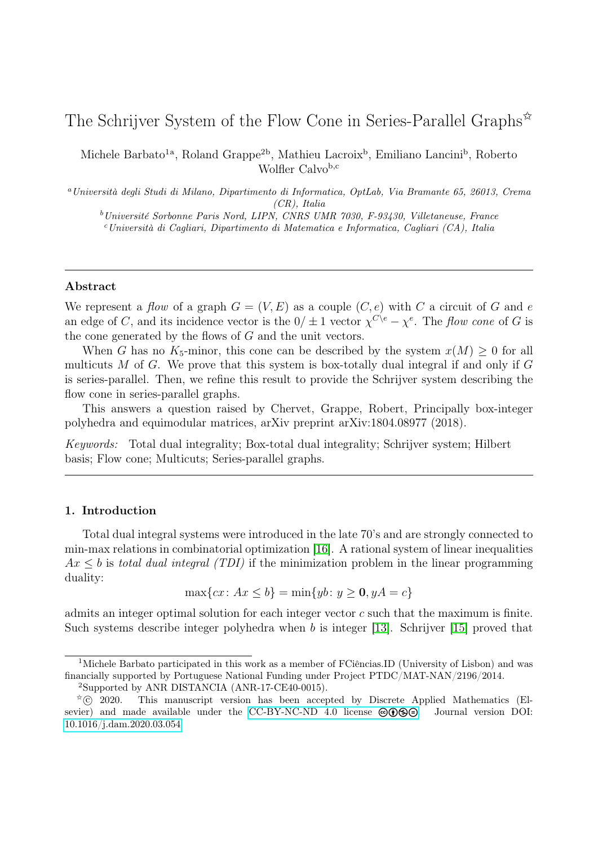# The Schrijver System of the Flow Cone in Series-Parallel Graphs<sup> $\hat{\mathbf{x}}$ </sup>

Michele Barbato<sup>1a</sup>, Roland Grappe<sup>2b</sup>, Mathieu Lacroix<sup>b</sup>, Emiliano Lancini<sup>b</sup>, Roberto Wolfler Calvob,c

<sup>a</sup>Università degli Studi di Milano, Dipartimento di Informatica, OptLab, Via Bramante 65, 26013, Crema (CR), Italia

<sup>b</sup>Université Sorbonne Paris Nord, LIPN, CNRS UMR 7030, F-93430, Villetaneuse, France  $c$ Università di Cagliari, Dipartimento di Matematica e Informatica, Cagliari (CA), Italia

#### Abstract

We represent a flow of a graph  $G = (V, E)$  as a couple  $(C, e)$  with C a circuit of G and e an edge of C, and its incidence vector is the  $0/\pm 1$  vector  $\chi^{C\setminus e} - \chi^{e}$ . The flow cone of G is the cone generated by the flows of G and the unit vectors.

When G has no K<sub>5</sub>-minor, this cone can be described by the system  $x(M) \geq 0$  for all multicuts M of G. We prove that this system is box-totally dual integral if and only if  $G$ is series-parallel. Then, we refine this result to provide the Schrijver system describing the flow cone in series-parallel graphs.

This answers a question raised by Chervet, Grappe, Robert, Principally box-integer polyhedra and equimodular matrices, arXiv preprint arXiv:1804.08977 (2018).

Keywords: Total dual integrality; Box-total dual integrality; Schrijver system; Hilbert basis; Flow cone; Multicuts; Series-parallel graphs.

# 1. Introduction

Total dual integral systems were introduced in the late 70's and are strongly connected to min-max relations in combinatorial optimization [\[16\]](#page-8-0). A rational system of linear inequalities  $Ax \leq b$  is total dual integral (TDI) if the minimization problem in the linear programming duality:

$$
\max\{cx \colon Ax \le b\} = \min\{yb \colon y \ge 0, yA = c\}
$$

admits an integer optimal solution for each integer vector c such that the maximum is finite. Such systems describe integer polyhedra when b is integer [\[13\]](#page-8-1). Schrijver [\[15\]](#page-8-2) proved that

<sup>1</sup>Michele Barbato participated in this work as a member of FCiências.ID (University of Lisbon) and was financially supported by Portuguese National Funding under Project PTDC/MAT-NAN/2196/2014.

<sup>2</sup>Supported by ANR DISTANCIA (ANR-17-CE40-0015).

 $\overline{C}$  2020. This manuscript version has been accepted by Discrete Applied Mathematics (El-sevier) and made available under the [CC-BY-NC-ND 4.0 license](http://creativecommons.org/licenses/by-nc-nd/4.0/)  $\Theta(\widehat{\Theta})\widehat{\Theta}(\widehat{\Theta})$ . Journal version DOI: [10.1016/j.dam.2020.03.054](https://doi.org/10.1016/j.dam.2020.03.054)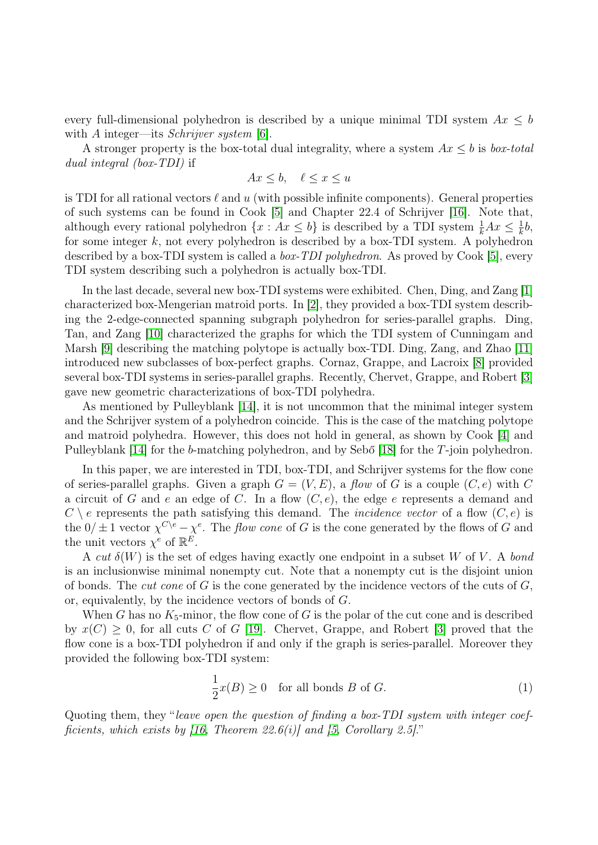every full-dimensional polyhedron is described by a unique minimal TDI system  $Ax \leq b$ with A integer—its *Schrijver system*  $|6|$ .

A stronger property is the box-total dual integrality, where a system  $Ax \leq b$  is box-total dual integral (box-TDI) if

$$
Ax \le b, \quad \ell \le x \le u
$$

is TDI for all rational vectors  $\ell$  and u (with possible infinite components). General properties of such systems can be found in Cook [\[5\]](#page-8-4) and Chapter 22.4 of Schrijver [\[16\]](#page-8-0). Note that, although every rational polyhedron  $\{x : Ax \leq b\}$  is described by a TDI system  $\frac{1}{k}Ax \leq \frac{1}{k}$  $\frac{1}{k}b,$ for some integer  $k$ , not every polyhedron is described by a box-TDI system. A polyhedron described by a box-TDI system is called a box-TDI polyhedron. As proved by Cook [\[5\]](#page-8-4), every TDI system describing such a polyhedron is actually box-TDI.

In the last decade, several new box-TDI systems were exhibited. Chen, Ding, and Zang [\[1\]](#page-8-5) characterized box-Mengerian matroid ports. In [\[2\]](#page-8-6), they provided a box-TDI system describing the 2-edge-connected spanning subgraph polyhedron for series-parallel graphs. Ding, Tan, and Zang [\[10\]](#page-8-7) characterized the graphs for which the TDI system of Cunningam and Marsh [\[9\]](#page-8-8) describing the matching polytope is actually box-TDI. Ding, Zang, and Zhao [\[11\]](#page-8-9) introduced new subclasses of box-perfect graphs. Cornaz, Grappe, and Lacroix [\[8\]](#page-8-10) provided several box-TDI systems in series-parallel graphs. Recently, Chervet, Grappe, and Robert [\[3\]](#page-8-11) gave new geometric characterizations of box-TDI polyhedra.

As mentioned by Pulleyblank [\[14\]](#page-8-12), it is not uncommon that the minimal integer system and the Schrijver system of a polyhedron coincide. This is the case of the matching polytope and matroid polyhedra. However, this does not hold in general, as shown by Cook [\[4\]](#page-8-13) and Pulleyblank [\[14\]](#page-8-12) for the b-matching polyhedron, and by Sebő [\[18\]](#page-8-14) for the T-join polyhedron.

In this paper, we are interested in TDI, box-TDI, and Schrijver systems for the flow cone of series-parallel graphs. Given a graph  $G = (V, E)$ , a flow of G is a couple  $(C, e)$  with C a circuit of G and e an edge of C. In a flow  $(C, e)$ , the edge e represents a demand and  $C \setminus e$  represents the path satisfying this demand. The *incidence vector* of a flow  $(C, e)$  is the  $0/\pm 1$  vector  $\chi^{C\setminus e} - \chi^{e}$ . The *flow cone* of G is the cone generated by the flows of G and the unit vectors  $\chi^e$  of  $\mathbb{R}^E$ .

A cut  $\delta(W)$  is the set of edges having exactly one endpoint in a subset W of V. A bond is an inclusionwise minimal nonempty cut. Note that a nonempty cut is the disjoint union of bonds. The *cut cone* of G is the cone generated by the incidence vectors of the cuts of  $G$ , or, equivalently, by the incidence vectors of bonds of G.

When G has no  $K_5$ -minor, the flow cone of G is the polar of the cut cone and is described by  $x(C) \geq 0$ , for all cuts C of G [\[19\]](#page-8-15). Chervet, Grappe, and Robert [\[3\]](#page-8-11) proved that the flow cone is a box-TDI polyhedron if and only if the graph is series-parallel. Moreover they provided the following box-TDI system:

<span id="page-1-0"></span>
$$
\frac{1}{2}x(B) \ge 0 \quad \text{for all bonds } B \text{ of } G. \tag{1}
$$

Quoting them, they "leave open the question of finding a box-TDI system with integer coefficients, which exists by  $(16,$  Theorem 22.6(i)] and [\[5,](#page-8-4) Corollary 2.5]."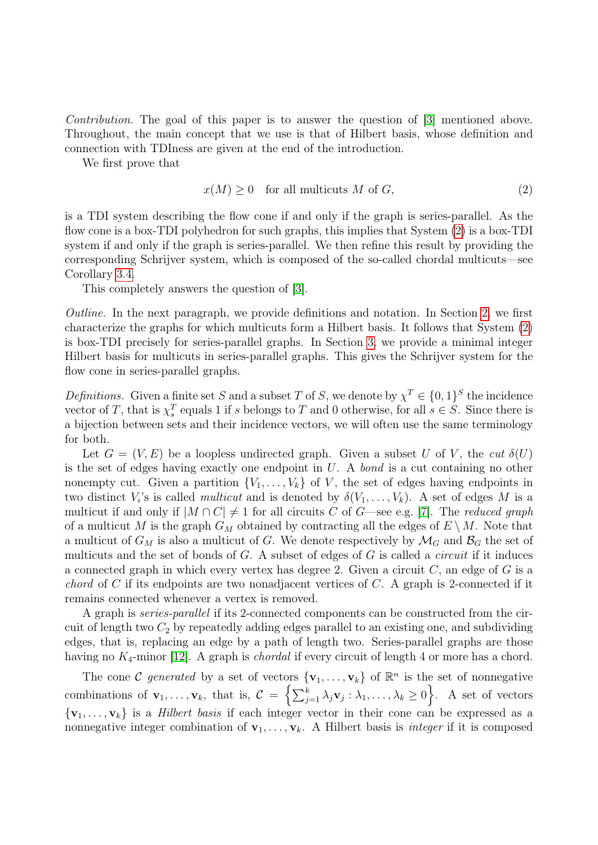Contribution. The goal of this paper is to answer the question of [\[3\]](#page-8-11) mentioned above. Throughout, the main concept that we use is that of Hilbert basis, whose definition and connection with TDIness are given at the end of the introduction.

We first prove that

<span id="page-2-0"></span>
$$
x(M) \ge 0 \quad \text{for all multicuts } M \text{ of } G,\tag{2}
$$

is a TDI system describing the flow cone if and only if the graph is series-parallel. As the flow cone is a box-TDI polyhedron for such graphs, this implies that System [\(2\)](#page-2-0) is a box-TDI system if and only if the graph is series-parallel. We then refine this result by providing the corresponding Schrijver system, which is composed of the so-called chordal multicuts—see Corollary [3.4.](#page-7-0)

This completely answers the question of [\[3\]](#page-8-11).

Outline. In the next paragraph, we provide definitions and notation. In Section [2,](#page-3-0) we first characterize the graphs for which multicuts form a Hilbert basis. It follows that System [\(2\)](#page-2-0) is box-TDI precisely for series-parallel graphs. In Section [3,](#page-6-0) we provide a minimal integer Hilbert basis for multicuts in series-parallel graphs. This gives the Schrijver system for the flow cone in series-parallel graphs.

*Definitions.* Given a finite set S and a subset T of S, we denote by  $\chi^T \in \{0,1\}^S$  the incidence vector of T, that is  $\chi_s^T$  equals 1 if s belongs to T and 0 otherwise, for all  $s \in S$ . Since there is a bijection between sets and their incidence vectors, we will often use the same terminology for both.

Let  $G = (V, E)$  be a loopless undirected graph. Given a subset U of V, the cut  $\delta(U)$ is the set of edges having exactly one endpoint in  $U$ . A bond is a cut containing no other nonempty cut. Given a partition  $\{V_1, \ldots, V_k\}$  of V, the set of edges having endpoints in two distinct  $V_i$ 's is called *multicut* and is denoted by  $\delta(V_1,\ldots,V_k)$ . A set of edges M is a multicut if and only if  $|M \cap C| \neq 1$  for all circuits C of G—see e.g. [\[7\]](#page-8-16). The reduced graph of a multicut M is the graph  $G_M$  obtained by contracting all the edges of  $E \setminus M$ . Note that a multicut of  $G_M$  is also a multicut of G. We denote respectively by  $\mathcal{M}_G$  and  $\mathcal{B}_G$  the set of multicuts and the set of bonds of  $G$ . A subset of edges of  $G$  is called a *circuit* if it induces a connected graph in which every vertex has degree 2. Given a circuit  $C$ , an edge of  $G$  is a *chord* of C if its endpoints are two nonadjacent vertices of C. A graph is 2-connected if it remains connected whenever a vertex is removed.

A graph is series-parallel if its 2-connected components can be constructed from the circuit of length two  $C_2$  by repeatedly adding edges parallel to an existing one, and subdividing edges, that is, replacing an edge by a path of length two. Series-parallel graphs are those having no  $K_4$ -minor [\[12\]](#page-8-17). A graph is *chordal* if every circuit of length 4 or more has a chord.

The cone C generated by a set of vectors  $\{v_1, \ldots, v_k\}$  of  $\mathbb{R}^n$  is the set of nonnegative combinations of  $\mathbf{v}_1, \ldots, \mathbf{v}_k$ , that is,  $\mathcal{C} = \left\{ \sum_{j=1}^k \lambda_j \mathbf{v}_j : \lambda_1, \ldots, \lambda_k \geq 0 \right\}$ . A set of vectors  ${\bf v}_1,\ldots,{\bf v}_k$  is a *Hilbert basis* if each integer vector in their cone can be expressed as a nonnegative integer combination of  $\mathbf{v}_1, \ldots, \mathbf{v}_k$ . A Hilbert basis is *integer* if it is composed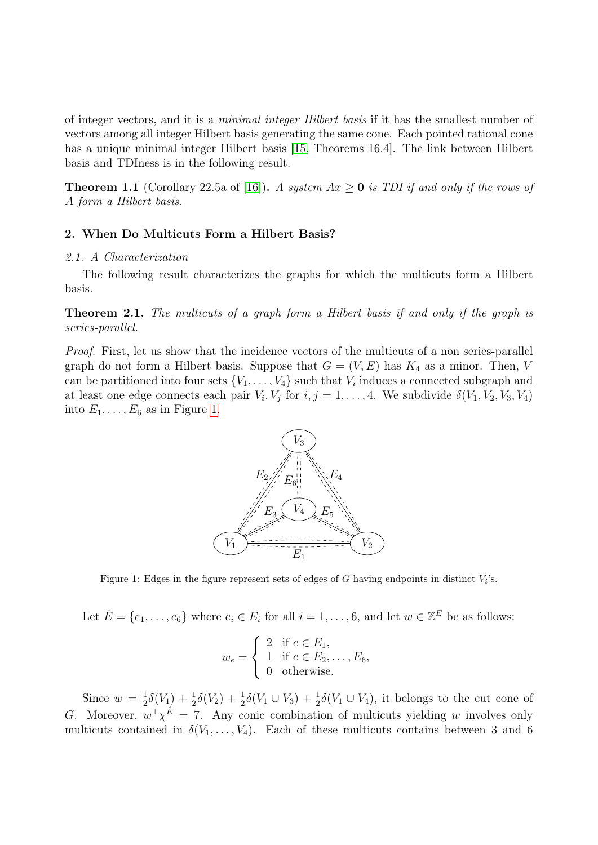of integer vectors, and it is a minimal integer Hilbert basis if it has the smallest number of vectors among all integer Hilbert basis generating the same cone. Each pointed rational cone has a unique minimal integer Hilbert basis [\[15,](#page-8-2) Theorems 16.4]. The link between Hilbert basis and TDIness is in the following result.

<span id="page-3-2"></span>**Theorem 1.1** (Corollary 22.5a of [\[16\]](#page-8-0)). A system  $Ax \ge 0$  is TDI if and only if the rows of A form a Hilbert basis.

## <span id="page-3-0"></span>2. When Do Multicuts Form a Hilbert Basis?

# 2.1. A Characterization

The following result characterizes the graphs for which the multicuts form a Hilbert basis.

<span id="page-3-3"></span>Theorem 2.1. The multicuts of a graph form a Hilbert basis if and only if the graph is series-parallel.

Proof. First, let us show that the incidence vectors of the multicuts of a non series-parallel graph do not form a Hilbert basis. Suppose that  $G = (V, E)$  has  $K_4$  as a minor. Then, V can be partitioned into four sets  $\{V_1, \ldots, V_4\}$  such that  $V_i$  induces a connected subgraph and at least one edge connects each pair  $V_i$ ,  $V_j$  for  $i, j = 1, ..., 4$ . We subdivide  $\delta(V_1, V_2, V_3, V_4)$ into  $E_1, \ldots, E_6$  as in Figure [1.](#page-3-1)



<span id="page-3-1"></span>Figure 1: Edges in the figure represent sets of edges of G having endpoints in distinct  $V_i$ 's.

Let  $\hat{E} = \{e_1, \ldots, e_6\}$  where  $e_i \in E_i$  for all  $i = 1, \ldots, 6$ , and let  $w \in \mathbb{Z}^E$  be as follows:

$$
w_e = \begin{cases} 2 & \text{if } e \in E_1, \\ 1 & \text{if } e \in E_2, \dots, E_6, \\ 0 & \text{otherwise.} \end{cases}
$$

Since  $w = \frac{1}{2}$  $\frac{1}{2}\delta(V_1) + \frac{1}{2}\delta(V_2) + \frac{1}{2}\delta(V_1 \cup V_3) + \frac{1}{2}\delta(V_1 \cup V_4)$ , it belongs to the cut cone of G. Moreover,  $w^{\top} \chi^{\hat{E}} = 7$ . Any conic combination of multicuts yielding w involves only multicuts contained in  $\delta(V_1,\ldots,V_4)$ . Each of these multicuts contains between 3 and 6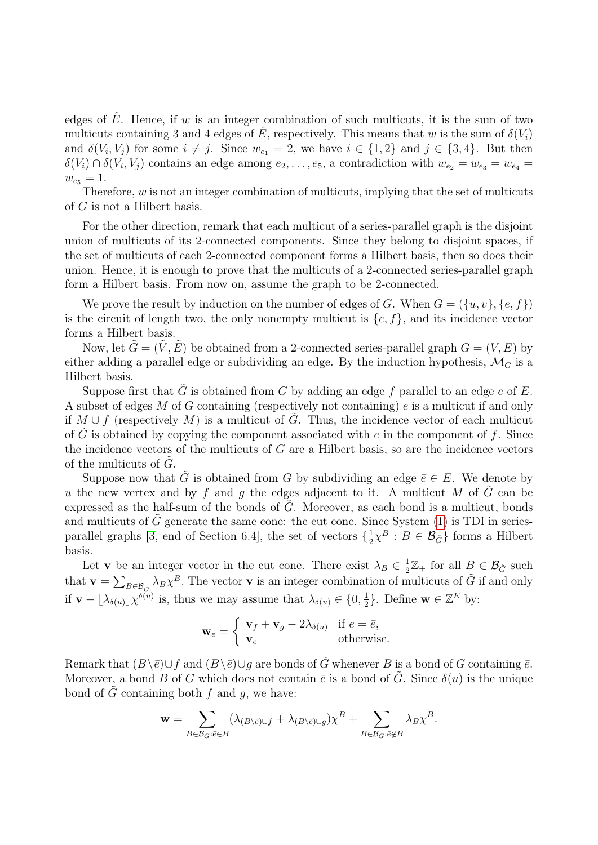edges of  $\hat{E}$ . Hence, if w is an integer combination of such multicuts, it is the sum of two multicuts containing 3 and 4 edges of  $\hat{E}$ , respectively. This means that w is the sum of  $\delta(V_i)$ and  $\delta(V_i, V_j)$  for some  $i \neq j$ . Since  $w_{e_1} = 2$ , we have  $i \in \{1, 2\}$  and  $j \in \{3, 4\}$ . But then  $\delta(V_i) \cap \delta(V_i, V_j)$  contains an edge among  $e_2, \ldots, e_5$ , a contradiction with  $w_{e_2} = w_{e_3} = w_{e_4} =$  $w_{e_5} = 1.$ 

Therefore,  $w$  is not an integer combination of multicuts, implying that the set of multicuts of G is not a Hilbert basis.

For the other direction, remark that each multicut of a series-parallel graph is the disjoint union of multicuts of its 2-connected components. Since they belong to disjoint spaces, if the set of multicuts of each 2-connected component forms a Hilbert basis, then so does their union. Hence, it is enough to prove that the multicuts of a 2-connected series-parallel graph form a Hilbert basis. From now on, assume the graph to be 2-connected.

We prove the result by induction on the number of edges of G. When  $G = (\{u, v\}, \{e, f\})$ is the circuit of length two, the only nonempty multicut is  $\{e, f\}$ , and its incidence vector forms a Hilbert basis.

Now, let  $\tilde{G} = (\tilde{V}, \tilde{E})$  be obtained from a 2-connected series-parallel graph  $G = (V, E)$  by either adding a parallel edge or subdividing an edge. By the induction hypothesis,  $\mathcal{M}_G$  is a Hilbert basis.

Suppose first that  $\tilde{G}$  is obtained from G by adding an edge f parallel to an edge e of E. A subset of edges  $M$  of  $G$  containing (respectively not containing)  $e$  is a multicut if and only if  $M \cup f$  (respectively M) is a multicut of G. Thus, the incidence vector of each multicut of G is obtained by copying the component associated with e in the component of f. Since the incidence vectors of the multicuts of  $G$  are a Hilbert basis, so are the incidence vectors of the multicuts of  $G$ .

Suppose now that  $\tilde{G}$  is obtained from G by subdividing an edge  $\bar{e} \in E$ . We denote by u the new vertex and by f and q the edges adjacent to it. A multicut M of G can be expressed as the half-sum of the bonds of  $G$ . Moreover, as each bond is a multicut, bonds and multicuts of  $\tilde{G}$  generate the same cone: the cut cone. Since System [\(1\)](#page-1-0) is TDI in series-parallel graphs [\[3,](#page-8-11) end of Section 6.4], the set of vectors  $\{\frac{1}{2}$  $\frac{1}{2}\chi^{B}: B \in \mathcal{B}_{\tilde{G}}\}$  forms a Hilbert basis.

Let **v** be an integer vector in the cut cone. There exist  $\lambda_B \in \frac{1}{2}$  $\frac{1}{2}\mathbb{Z}_{+}$  for all  $B \in \mathcal{B}_{\tilde{G}}$  such that  $\mathbf{v} = \sum_{B \in \mathcal{B}_{\tilde{G}}} \lambda_B \chi^B$ . The vector  $\mathbf{v}$  is an integer combination of multicuts of  $\tilde{G}$  if and only if  $\mathbf{v} - \lfloor \lambda_{\delta(u)} \rfloor \chi^{\delta(u)}$  is, thus we may assume that  $\lambda_{\delta(u)} \in \{0, \frac{1}{2}\}$  $\frac{1}{2}$ . Define **w**  $\in \mathbb{Z}^E$  by:

$$
\mathbf{w}_e = \begin{cases} \mathbf{v}_f + \mathbf{v}_g - 2\lambda_{\delta(u)} & \text{if } e = \bar{e}, \\ \mathbf{v}_e & \text{otherwise.} \end{cases}
$$

Remark that  $(B\setminus \bar{e})\cup f$  and  $(B\setminus \bar{e})\cup q$  are bonds of  $\tilde{G}$  whenever B is a bond of G containing  $\bar{e}$ . Moreover, a bond B of G which does not contain  $\bar{e}$  is a bond of  $\tilde{G}$ . Since  $\delta(u)$  is the unique bond of  $\tilde{G}$  containing both f and q, we have:

$$
\mathbf{w} = \sum_{B \in \mathcal{B}_G: \bar{e} \in B} (\lambda_{(B \setminus \bar{e}) \cup f} + \lambda_{(B \setminus \bar{e}) \cup g}) \chi^B + \sum_{B \in \mathcal{B}_G: \bar{e} \notin B} \lambda_B \chi^B.
$$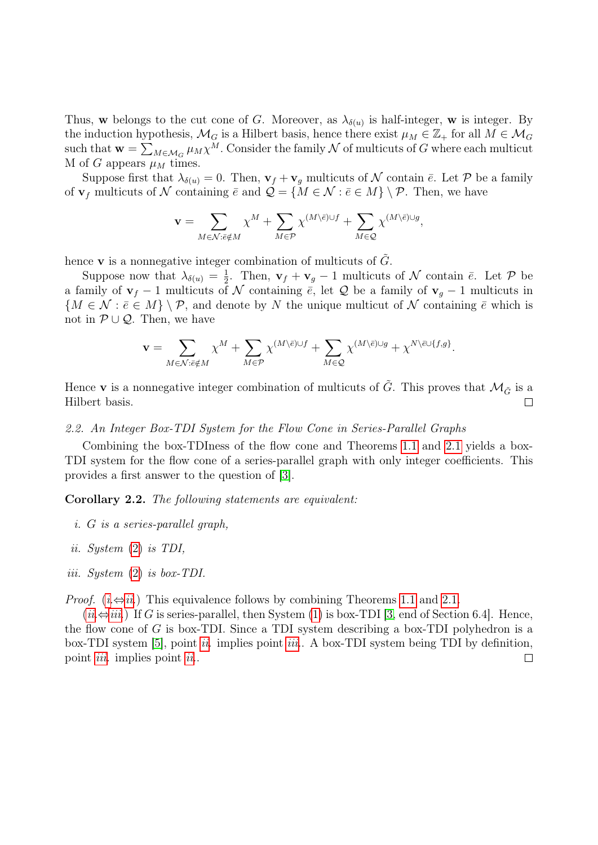Thus, w belongs to the cut cone of G. Moreover, as  $\lambda_{\delta(u)}$  is half-integer, w is integer. By the induction hypothesis,  $\mathcal{M}_G$  is a Hilbert basis, hence there exist  $\mu_M \in \mathbb{Z}_+$  for all  $M \in \mathcal{M}_G$ such that  $\mathbf{w} = \sum_{M \in \mathcal{M}_G} \mu_M \chi^M$ . Consider the family  $\mathcal N$  of multicuts of  $G$  where each multicut M of G appears  $\mu_M$  times.

Suppose first that  $\lambda_{\delta(u)} = 0$ . Then,  $\mathbf{v}_f + \mathbf{v}_g$  multicuts of N contain  $\bar{e}$ . Let P be a family of  $\mathbf{v}_f$  multicuts of N containing  $\bar{e}$  and  $\mathcal{Q} = \{M \in \mathcal{N} : \bar{e} \in M\} \setminus \mathcal{P}$ . Then, we have

$$
\mathbf{v} = \sum_{M \in \mathcal{N}: \bar{e} \notin M} \chi^M + \sum_{M \in \mathcal{P}} \chi^{(M \setminus \bar{e}) \cup f} + \sum_{M \in \mathcal{Q}} \chi^{(M \setminus \bar{e}) \cup g},
$$

hence **v** is a nonnegative integer combination of multicuts of  $\tilde{G}$ .

Suppose now that  $\lambda_{\delta(u)} = \frac{1}{2}$  $\frac{1}{2}$ . Then,  $\mathbf{v}_f + \mathbf{v}_g - 1$  multicuts of N contain  $\bar{e}$ . Let P be a family of  $\mathbf{v}_f - 1$  multicuts of N containing  $\bar{e}$ , let Q be a family of  $\mathbf{v}_q - 1$  multicuts in  ${M \in \mathcal{N} : \bar{e} \in M} \setminus \mathcal{P}$ , and denote by N the unique multicut of N containing  $\bar{e}$  which is not in  $\mathcal{P} \cup \mathcal{Q}$ . Then, we have

$$
\mathbf{v} = \sum_{M \in \mathcal{N}: \bar{e} \notin M} \chi^M + \sum_{M \in \mathcal{P}} \chi^{(M \setminus \bar{e}) \cup f} + \sum_{M \in \mathcal{Q}} \chi^{(M \setminus \bar{e}) \cup g} + \chi^{N \setminus \bar{e} \cup \{f,g\}}.
$$

Hence **v** is a nonnegative integer combination of multicuts of  $\tilde{G}$ . This proves that  $\mathcal{M}_{\tilde{G}}$  is a Hilbert basis.  $\Box$ 

#### 2.2. An Integer Box-TDI System for the Flow Cone in Series-Parallel Graphs

Combining the box-TDIness of the flow cone and Theorems [1.1](#page-3-2) and [2.1](#page-3-3) yields a box-TDI system for the flow cone of a series-parallel graph with only integer coefficients. This provides a first answer to the question of [\[3\]](#page-8-11).

<span id="page-5-3"></span>Corollary 2.2. The following statements are equivalent:

- <span id="page-5-0"></span>i. G is a series-parallel graph,
- <span id="page-5-1"></span>ii. System [\(2\)](#page-2-0) is TDI,
- <span id="page-5-2"></span>iii. System [\(2\)](#page-2-0) is box-TDI.

*Proof.* ( $i \Leftrightarrow ii$ .) This equivalence follows by combining Theorems [1.1](#page-3-2) and [2.1.](#page-3-3)

 $(ii \Leftrightarrow iii.)$  $(ii \Leftrightarrow iii.)$  $(ii \Leftrightarrow iii.)$  If G is series-parallel, then System [\(1\)](#page-1-0) is box-TDI [\[3,](#page-8-11) end of Section 6.4]. Hence, the flow cone of G is box-TDI. Since a TDI system describing a box-TDI polyhedron is a box-TDI system [\[5\]](#page-8-4), point [ii.](#page-5-1) implies point [iii.](#page-5-2). A box-TDI system being TDI by definition, point *[iii.](#page-5-2)* implies point *[ii.](#page-5-1).*  $\Box$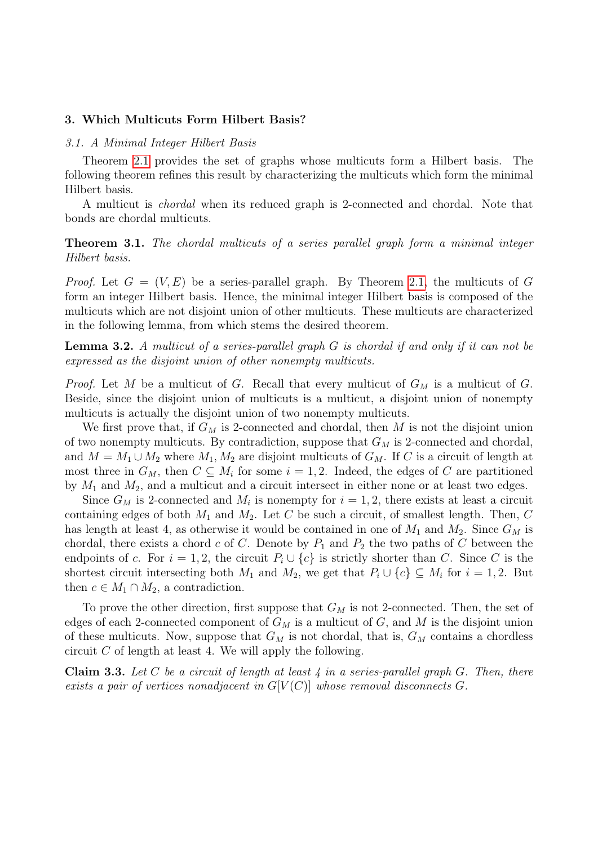# <span id="page-6-0"></span>3. Which Multicuts Form Hilbert Basis?

## 3.1. A Minimal Integer Hilbert Basis

Theorem [2.1](#page-3-3) provides the set of graphs whose multicuts form a Hilbert basis. The following theorem refines this result by characterizing the multicuts which form the minimal Hilbert basis.

A multicut is chordal when its reduced graph is 2-connected and chordal. Note that bonds are chordal multicuts.

<span id="page-6-2"></span>Theorem 3.1. The chordal multicuts of a series parallel graph form a minimal integer Hilbert basis.

*Proof.* Let  $G = (V, E)$  be a series-parallel graph. By Theorem [2.1,](#page-3-3) the multicuts of G form an integer Hilbert basis. Hence, the minimal integer Hilbert basis is composed of the multicuts which are not disjoint union of other multicuts. These multicuts are characterized in the following lemma, from which stems the desired theorem.

**Lemma 3.2.** A multicut of a series-parallel graph  $G$  is chordal if and only if it can not be expressed as the disjoint union of other nonempty multicuts.

*Proof.* Let M be a multicut of G. Recall that every multicut of  $G_M$  is a multicut of G. Beside, since the disjoint union of multicuts is a multicut, a disjoint union of nonempty multicuts is actually the disjoint union of two nonempty multicuts.

We first prove that, if  $G_M$  is 2-connected and chordal, then M is not the disjoint union of two nonempty multicuts. By contradiction, suppose that  $G_M$  is 2-connected and chordal, and  $M = M_1 \cup M_2$  where  $M_1, M_2$  are disjoint multicuts of  $G_M$ . If C is a circuit of length at most three in  $G_M$ , then  $C \subseteq M_i$  for some  $i = 1, 2$ . Indeed, the edges of C are partitioned by  $M_1$  and  $M_2$ , and a multicut and a circuit intersect in either none or at least two edges.

Since  $G_M$  is 2-connected and  $M_i$  is nonempty for  $i = 1, 2$ , there exists at least a circuit containing edges of both  $M_1$  and  $M_2$ . Let C be such a circuit, of smallest length. Then, C has length at least 4, as otherwise it would be contained in one of  $M_1$  and  $M_2$ . Since  $G_M$  is chordal, there exists a chord c of C. Denote by  $P_1$  and  $P_2$  the two paths of C between the endpoints of c. For  $i = 1, 2$ , the circuit  $P_i \cup \{c\}$  is strictly shorter than C. Since C is the shortest circuit intersecting both  $M_1$  and  $M_2$ , we get that  $P_i \cup \{c\} \subseteq M_i$  for  $i = 1, 2$ . But then  $c \in M_1 \cap M_2$ , a contradiction.

To prove the other direction, first suppose that  $G_M$  is not 2-connected. Then, the set of edges of each 2-connected component of  $G_M$  is a multicut of G, and M is the disjoint union of these multicuts. Now, suppose that  $G_M$  is not chordal, that is,  $G_M$  contains a chordless circuit  $C$  of length at least 4. We will apply the following.

<span id="page-6-1"></span>**Claim 3.3.** Let C be a circuit of length at least  $\downarrow$  in a series-parallel graph G. Then, there exists a pair of vertices nonadjacent in  $G[V(C)]$  whose removal disconnects G.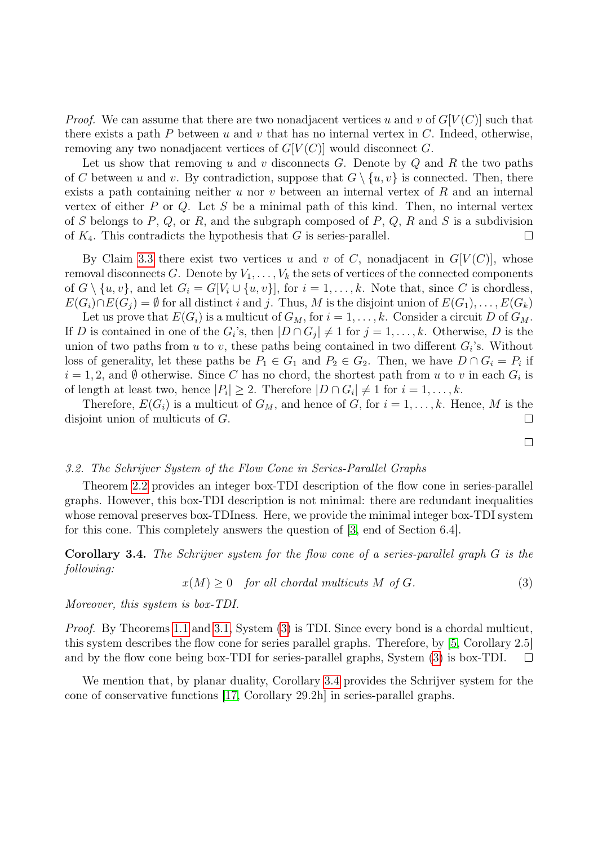*Proof.* We can assume that there are two nonadjacent vertices u and v of  $G[V(C)]$  such that there exists a path P between u and v that has no internal vertex in  $C$ . Indeed, otherwise, removing any two nonadjacent vertices of  $G[V(C)]$  would disconnect G.

Let us show that removing u and v disconnects G. Denote by  $Q$  and R the two paths of C between u and v. By contradiction, suppose that  $G \setminus \{u, v\}$  is connected. Then, there exists a path containing neither u nor v between an internal vertex of R and an internal vertex of either  $P$  or  $Q$ . Let  $S$  be a minimal path of this kind. Then, no internal vertex of S belongs to P, Q, or R, and the subgraph composed of P, Q, R and S is a subdivision of  $K_4$ . This contradicts the hypothesis that G is series-parallel.  $\Box$ 

By Claim [3.3](#page-6-1) there exist two vertices u and v of C, nonadjacent in  $G[V(C)]$ , whose removal disconnects G. Denote by  $V_1, \ldots, V_k$  the sets of vertices of the connected components of  $G \setminus \{u, v\}$ , and let  $G_i = G[V_i \cup \{u, v\}]$ , for  $i = 1, \ldots, k$ . Note that, since C is chordless,  $E(G_i) \cap E(G_j) = \emptyset$  for all distinct i and j. Thus, M is the disjoint union of  $E(G_1), \ldots, E(G_k)$ 

Let us prove that  $E(G_i)$  is a multicut of  $G_M$ , for  $i = 1, \ldots, k$ . Consider a circuit D of  $G_M$ . If D is contained in one of the  $G_i$ 's, then  $|D \cap G_j| \neq 1$  for  $j = 1, \ldots, k$ . Otherwise, D is the union of two paths from u to v, these paths being contained in two different  $G_i$ 's. Without loss of generality, let these paths be  $P_1 \in G_1$  and  $P_2 \in G_2$ . Then, we have  $D \cap G_i = P_i$  if  $i = 1, 2$ , and Ø otherwise. Since C has no chord, the shortest path from u to v in each  $G_i$  is of length at least two, hence  $|P_i| \geq 2$ . Therefore  $|D \cap G_i| \neq 1$  for  $i = 1, \ldots, k$ .

Therefore,  $E(G_i)$  is a multicut of  $G_M$ , and hence of G, for  $i = 1, \ldots, k$ . Hence, M is the disjoint union of multicuts of G.  $\Box$ 

 $\Box$ 

#### 3.2. The Schrijver System of the Flow Cone in Series-Parallel Graphs

Theorem [2.2](#page-5-3) provides an integer box-TDI description of the flow cone in series-parallel graphs. However, this box-TDI description is not minimal: there are redundant inequalities whose removal preserves box-TDIness. Here, we provide the minimal integer box-TDI system for this cone. This completely answers the question of [\[3,](#page-8-11) end of Section 6.4].

<span id="page-7-0"></span>Corollary 3.4. The Schrijver system for the flow cone of a series-parallel graph G is the following:

<span id="page-7-1"></span>
$$
x(M) \ge 0 \quad for all chordal multicuts M of G. \tag{3}
$$

Moreover, this system is box-TDI.

Proof. By Theorems [1.1](#page-3-2) and [3.1,](#page-6-2) System [\(3\)](#page-7-1) is TDI. Since every bond is a chordal multicut, this system describes the flow cone for series parallel graphs. Therefore, by [\[5,](#page-8-4) Corollary 2.5] and by the flow cone being box-TDI for series-parallel graphs, System [\(3\)](#page-7-1) is box-TDI.  $\Box$ 

We mention that, by planar duality, Corollary [3.4](#page-7-0) provides the Schrijver system for the cone of conservative functions [\[17,](#page-8-18) Corollary 29.2h] in series-parallel graphs.